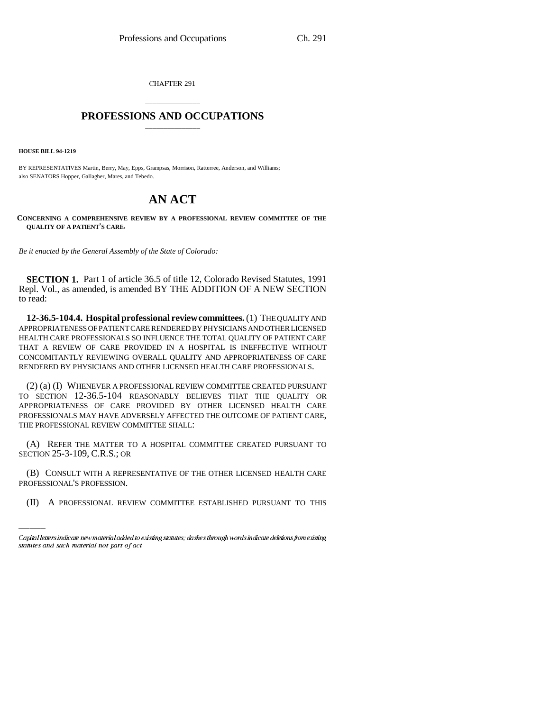CHAPTER 291

## \_\_\_\_\_\_\_\_\_\_\_\_\_\_\_ **PROFESSIONS AND OCCUPATIONS** \_\_\_\_\_\_\_\_\_\_\_\_\_\_\_

**HOUSE BILL 94-1219**

BY REPRESENTATIVES Martin, Berry, May, Epps, Grampsas, Morrison, Ratterree, Anderson, and Williams; also SENATORS Hopper, Gallagher, Mares, and Tebedo.

## **AN ACT**

**CONCERNING A COMPREHENSIVE REVIEW BY A PROFESSIONAL REVIEW COMMITTEE OF THE QUALITY OF A PATIENT'S CARE.**

*Be it enacted by the General Assembly of the State of Colorado:*

**SECTION 1.** Part 1 of article 36.5 of title 12, Colorado Revised Statutes, 1991 Repl. Vol., as amended, is amended BY THE ADDITION OF A NEW SECTION to read:

**12-36.5-104.4. Hospital professional review committees.** (1) THE QUALITY AND APPROPRIATENESS OF PATIENT CARE RENDERED BY PHYSICIANS AND OTHER LICENSED HEALTH CARE PROFESSIONALS SO INFLUENCE THE TOTAL QUALITY OF PATIENT CARE THAT A REVIEW OF CARE PROVIDED IN A HOSPITAL IS INEFFECTIVE WITHOUT CONCOMITANTLY REVIEWING OVERALL QUALITY AND APPROPRIATENESS OF CARE RENDERED BY PHYSICIANS AND OTHER LICENSED HEALTH CARE PROFESSIONALS.

(2) (a) (I) WHENEVER A PROFESSIONAL REVIEW COMMITTEE CREATED PURSUANT TO SECTION 12-36.5-104 REASONABLY BELIEVES THAT THE QUALITY OR APPROPRIATENESS OF CARE PROVIDED BY OTHER LICENSED HEALTH CARE PROFESSIONALS MAY HAVE ADVERSELY AFFECTED THE OUTCOME OF PATIENT CARE, THE PROFESSIONAL REVIEW COMMITTEE SHALL:

SECTION 25-3-109, C.R.S.; OR (A) REFER THE MATTER TO A HOSPITAL COMMITTEE CREATED PURSUANT TO

(B) CONSULT WITH A REPRESENTATIVE OF THE OTHER LICENSED HEALTH CARE PROFESSIONAL'S PROFESSION.

(II) A PROFESSIONAL REVIEW COMMITTEE ESTABLISHED PURSUANT TO THIS

Capital letters indicate new material added to existing statutes; dashes through words indicate deletions from existing statutes and such material not part of act.